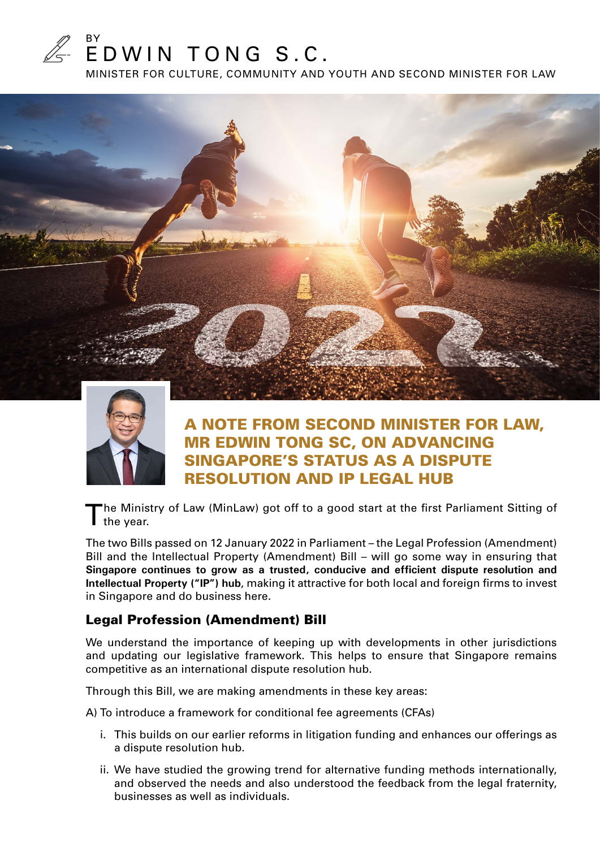

MINISTER FOR CULTURE, COMMUNITY AND YOUTH AND SECOND MINISTER FOR LAW





## A NOTE FROM SECOND MINISTER FOR LAW, MR EDWIN TONG SC, ON ADVANCING SINGAPORE'S STATUS AS A DISPUTE RESOLUTION AND IP LEGAL HUB

The Ministry of Law (MinLaw) got off to a good start at the first Parliament Sitting of I the year.

The two Bills passed on 12 January 2022 in Parliament – the Legal Profession (Amendment) Bill and the Intellectual Property (Amendment) Bill – will go some way in ensuring that **Singapore continues to grow as a trusted, conducive and efficient dispute resolution and Intellectual Property ("IP") hub**, making it attractive for both local and foreign firms to invest in Singapore and do business here.

### Legal Profession (Amendment) Bill

We understand the importance of keeping up with developments in other jurisdictions and updating our legislative framework. This helps to ensure that Singapore remains competitive as an international dispute resolution hub.

Through this Bill, we are making amendments in these key areas:

A) To introduce a framework for conditional fee agreements (CFAs)

- i. This builds on our earlier reforms in litigation funding and enhances our offerings as a dispute resolution hub.
- ii. We have studied the growing trend for alternative funding methods internationally, and observed the needs and also understood the feedback from the legal fraternity, businesses as well as individuals.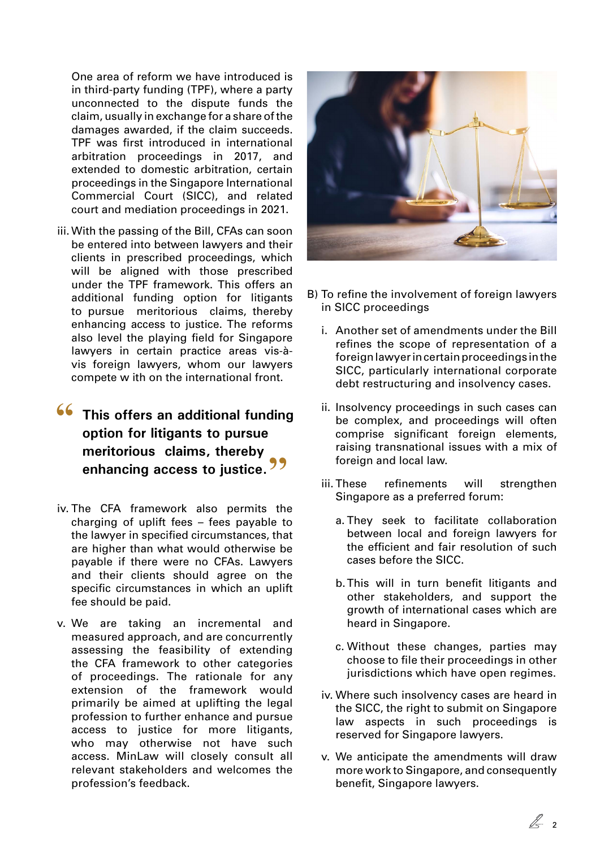One area of reform we have introduced is in third-party funding (TPF), where a party unconnected to the dispute funds the claim, usually in exchange for a share of the damages awarded, if the claim succeeds. TPF was first introduced in international arbitration proceedings in 2017, and extended to domestic arbitration, certain proceedings in the Singapore International Commercial Court (SICC), and related court and mediation proceedings in 2021.

iii. With the passing of the Bill, CFAs can soon be entered into between lawyers and their clients in prescribed proceedings, which will be aligned with those prescribed under the TPF framework. This offers an additional funding option for litigants to pursue meritorious claims, thereby enhancing access to justice. The reforms also level the playing field for Singapore lawyers in certain practice areas vis-àvis foreign lawyers, whom our lawyers compete w ith on the international front.

# **66** This offers an additional funding **option for litigants to pursue meritorious claims, thereby enhancing access to justice.''**

- iv. The CFA framework also permits the charging of uplift fees – fees payable to the lawyer in specified circumstances, that are higher than what would otherwise be payable if there were no CFAs. Lawyers and their clients should agree on the specific circumstances in which an uplift fee should be paid.
- v. We are taking an incremental and measured approach, and are concurrently assessing the feasibility of extending the CFA framework to other categories of proceedings. The rationale for any extension of the framework would primarily be aimed at uplifting the legal profession to further enhance and pursue access to justice for more litigants, who may otherwise not have such access. MinLaw will closely consult all relevant stakeholders and welcomes the profession's feedback.



- B) To refine the involvement of foreign lawyers in SICC proceedings
	- i. Another set of amendments under the Bill refines the scope of representation of a foreign lawyer in certain proceedings in the SICC, particularly international corporate debt restructuring and insolvency cases.
	- ii. Insolvency proceedings in such cases can be complex, and proceedings will often comprise significant foreign elements, raising transnational issues with a mix of foreign and local law.
	- iii. These refinements will strengthen Singapore as a preferred forum:
		- a. They seek to facilitate collaboration between local and foreign lawyers for the efficient and fair resolution of such cases before the SICC.
		- b. This will in turn benefit litigants and other stakeholders, and support the growth of international cases which are heard in Singapore.
		- c. Without these changes, parties may choose to file their proceedings in other jurisdictions which have open regimes.
	- iv. Where such insolvency cases are heard in the SICC, the right to submit on Singapore law aspects in such proceedings is reserved for Singapore lawyers.
	- v. We anticipate the amendments will draw more work to Singapore, and consequently benefit, Singapore lawyers.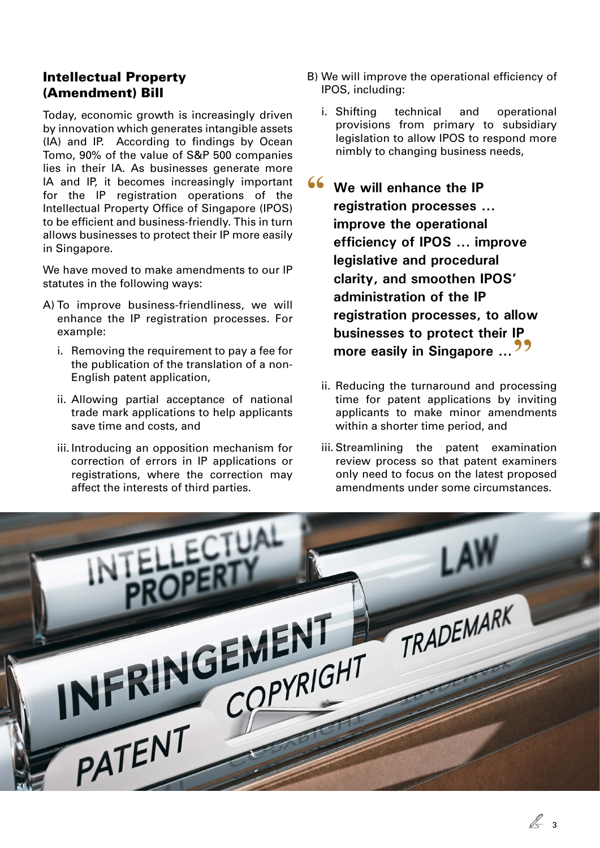### Intellectual Property (Amendment) Bill

Today, economic growth is increasingly driven by innovation which generates intangible assets (IA) and IP. According to findings by Ocean Tomo, 90% of the value of S&P 500 companies lies in their IA. As businesses generate more IA and IP, it becomes increasingly important for the IP registration operations of the Intellectual Property Office of Singapore (IPOS) to be efficient and business-friendly. This in turn allows businesses to protect their IP more easily in Singapore.

We have moved to make amendments to our IP statutes in the following ways:

- A) To improve business-friendliness, we will enhance the IP registration processes. For example:
	- i. Removing the requirement to pay a fee for the publication of the translation of a non-English patent application,
	- ii. Allowing partial acceptance of national trade mark applications to help applicants save time and costs, and
	- iii. Introducing an opposition mechanism for correction of errors in IP applications or registrations, where the correction may affect the interests of third parties.
- B) We will improve the operational efficiency of IPOS, including:
	- i. Shifting technical and operational provisions from primary to subsidiary legislation to allow IPOS to respond more nimbly to changing business needs,

**66** We will enhance the IP **registration processes ... improve the operational efficiency of IPOS ... improve legislative and procedural clarity, and smoothen IPOS' administration of the IP registration processes, to allow businesses to protect their IP more easily in Singapore** ...<sup>22</sup>

- ii. Reducing the turnaround and processing time for patent applications by inviting applicants to make minor amendments within a shorter time period, and
- iii. Streamlining the patent examination review process so that patent examiners only need to focus on the latest proposed amendments under some circumstances.